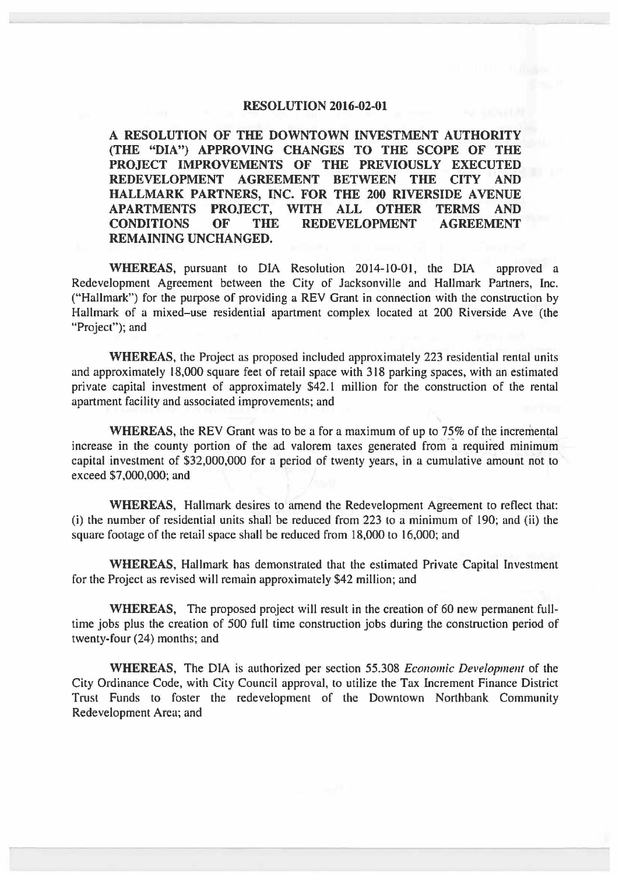## **RESOLUTION 2016-02-01**

**A RESOLUTION OF THE DOWNTOWN INVESTMENT AUTHORITY (THE "DIA") APPROVING CHANGES TO THE SCOPE OF THE PROJECT IMPROVEMENTS OF THE PREVIOUSLY EXECUTED REDEVELOPMENT AGREEMENT BETWEEN THE CITY AND HALLMARK PARTNERS, INC. FOR THE 200 RIVERSIDE AVENUE APARTMENTS PROJECT, WITH ALL OTHER TERMS AND**  THE REDEVELOPMENT AGREEMENT **REMAINING UNCHANGED.** 

**WHEREAS,** pursuant to DIA Resolution 2014-10-01, the DIA approved a Redevelopment Agreement between the City of Jacksonville and Hallmark Partners, Inc. ("Hallmark") for the purpose of providing a REV Grant in connection with the construction by Hallmark of a mixed-use residential apartment complex located at 200 Riverside Ave (the "Project"); and

**WHEREAS,** the Project as proposed included approximately 223 residential rental units and approximately 18,000 square feet of retail space with 318 parking spaces, with an estimated private capital investment of approximately \$42.1 million for the construction of the rental apartment facility and associated improvements; and

**WHEREAS,** the REV Grant was to be a for a maximum of up to 75% of the incremental increase in the county portion of the ad valorem taxes generated from a required minimum capital investment of \$32,000,000 for a period of twenty years, in a cumulative amount not to exceed \$7,000,000; and

**WHEREAS,** Hallmark desires to amend the Redevelopment Agreement to reflect that: (i) the number of residential units shall be reduced from 223 to a minimum of 190; and (ii) the square footage of the retail space shall be reduced from 18,000 to 16,000; and

**WHEREAS,** Hallmark has demonstrated that the estimated Private Capital Investment for the Project as revised will remain approximately \$42 million; and

**WHEREAS,** The proposed project will result in the creation of 60 new permanent fulltime jobs plus the creation of 500 full time construction jobs during the construction period of twenty-four (24) months; and

**WHEREAS,** The DIA is authorized per section 55.308 *Economic Development* of the City Ordinance Code, with City Council approval, to utilize the Tax Increment Finance District Trust Funds to foster the redevelopment of the Downtown Northbank Community Redevelopment Area; and